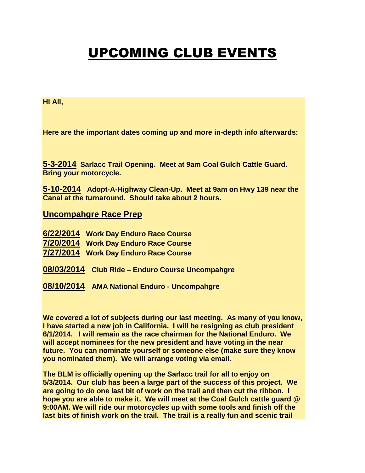## UPCOMING CLUB EVENTS

## **Hi All,**

**Here are the important dates coming up and more in-depth info afterwards:**

**5-3-2014 Sarlacc Trail Opening. Meet at 9am Coal Gulch Cattle Guard. Bring your motorcycle.**

**5-10-2014 Adopt-A-Highway Clean-Up. Meet at 9am on Hwy 139 near the Canal at the turnaround. Should take about 2 hours.**

## **Uncompahgre Race Prep**

- **6/22/2014 Work Day Enduro Race Course**
- **7/20/2014 Work Day Enduro Race Course**
- **7/27/2014 Work Day Enduro Race Course**
- **08/03/2014 Club Ride – Enduro Course Uncompahgre**
- **08/10/2014 AMA National Enduro - Uncompahgre**

**We covered a lot of subjects during our last meeting. As many of you know, I have started a new job in California. I will be resigning as club president 6/1/2014. I will remain as the race chairman for the National Enduro. We will accept nominees for the new president and have voting in the near future. You can nominate yourself or someone else (make sure they know you nominated them). We will arrange voting via email.**

**The BLM is officially opening up the Sarlacc trail for all to enjoy on 5/3/2014. Our club has been a large part of the success of this project. We are going to do one last bit of work on the trail and then cut the ribbon. I hope you are able to make it. We will meet at the Coal Gulch cattle guard @ 9:00AM. We will ride our motorcycles up with some tools and finish off the last bits of finish work on the trail. The trail is a really fun and scenic trail**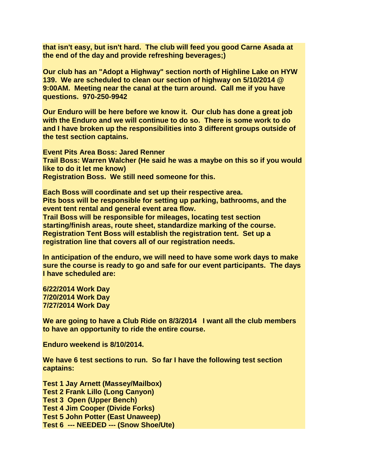**that isn't easy, but isn't hard. The club will feed you good Carne Asada at the end of the day and provide refreshing beverages;)**

**Our club has an "Adopt a Highway" section north of Highline Lake on HYW 139. We are scheduled to clean our section of highway on 5/10/2014 @ 9:00AM. Meeting near the canal at the turn around. Call me if you have questions. 970-250-9942**

**Our Enduro will be here before we know it. Our club has done a great job with the Enduro and we will continue to do so. There is some work to do and I have broken up the responsibilities into 3 different groups outside of the test section captains.** 

**Event Pits Area Boss: Jared Renner Trail Boss: Warren Walcher (He said he was a maybe on this so if you would like to do it let me know) Registration Boss. We still need someone for this.**

**Each Boss will coordinate and set up their respective area. Pits boss will be responsible for setting up parking, bathrooms, and the event tent rental and general event area flow.**

**Trail Boss will be responsible for mileages, locating test section starting/finish areas, route sheet, standardize marking of the course. Registration Tent Boss will establish the registration tent. Set up a registration line that covers all of our registration needs.**

**In anticipation of the enduro, we will need to have some work days to make sure the course is ready to go and safe for our event participants. The days I have scheduled are:**

**6/22/2014 Work Day 7/20/2014 Work Day 7/27/2014 Work Day**

**We are going to have a Club Ride on 8/3/2014 I want all the club members to have an opportunity to ride the entire course.**

**Enduro weekend is 8/10/2014.**

**We have 6 test sections to run. So far I have the following test section captains:**

**Test 1 Jay Arnett (Massey/Mailbox) Test 2 Frank Lillo (Long Canyon) Test 3 Open (Upper Bench) Test 4 Jim Cooper (Divide Forks) Test 5 John Potter (East Unaweep) Test 6 --- NEEDED --- (Snow Shoe/Ute)**